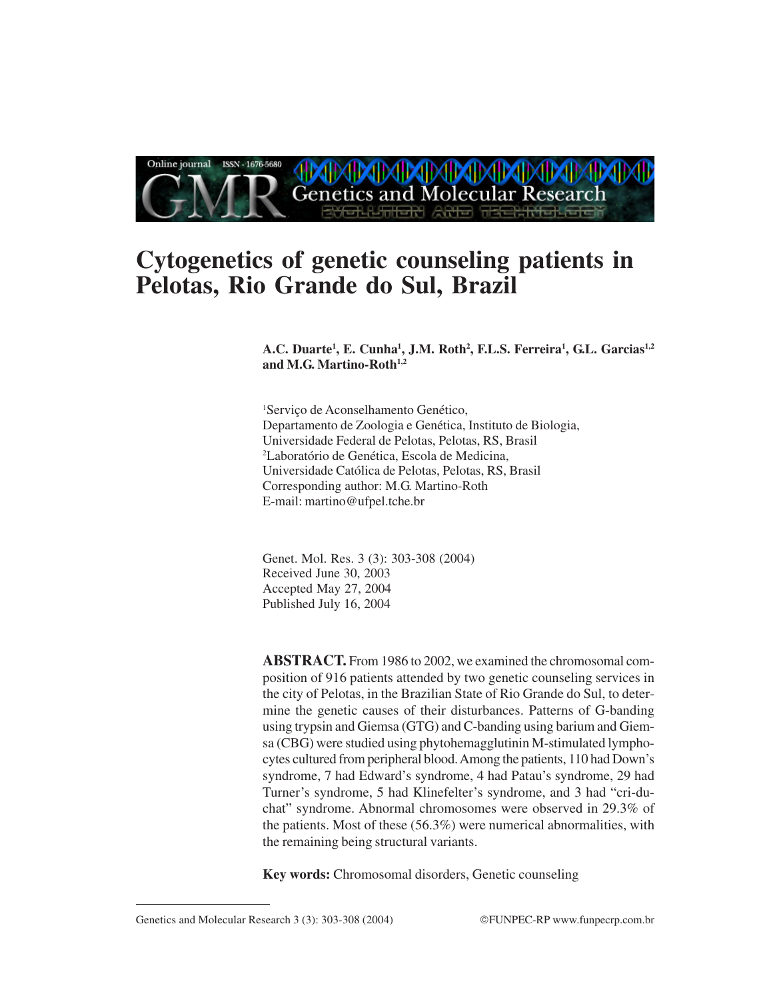

# **Cytogenetics of genetic counseling patients in Pelotas, Rio Grande do Sul, Brazil**

**A.C. Duarte1 , E. Cunha1 , J.M. Roth2 , F.L.S. Ferreira1 , G.L. Garcias1,2** and M.G. Martino-Roth<sup>1,2</sup>

1 Serviço de Aconselhamento Genético, Departamento de Zoologia e Genética, Instituto de Biologia, Universidade Federal de Pelotas, Pelotas, RS, Brasil 2 Laboratório de Genética, Escola de Medicina, Universidade Católica de Pelotas, Pelotas, RS, Brasil Corresponding author: M.G. Martino-Roth E-mail: martino@ufpel.tche.br

Genet. Mol. Res. 3 (3): 303-308 (2004) Received June 30, 2003 Accepted May 27, 2004 Published July 16, 2004

**ABSTRACT.** From 1986 to 2002, we examined the chromosomal composition of 916 patients attended by two genetic counseling services in the city of Pelotas, in the Brazilian State of Rio Grande do Sul, to determine the genetic causes of their disturbances. Patterns of G-banding using trypsin and Giemsa (GTG) and C-banding using barium and Giemsa (CBG) were studied using phytohemagglutinin M-stimulated lymphocytes cultured from peripheral blood. Among the patients, 110 had Down's syndrome, 7 had Edward's syndrome, 4 had Patau's syndrome, 29 had Turner's syndrome, 5 had Klinefelter's syndrome, and 3 had "cri-duchat" syndrome. Abnormal chromosomes were observed in 29.3% of the patients. Most of these (56.3%) were numerical abnormalities, with the remaining being structural variants.

**Key words:** Chromosomal disorders, Genetic counseling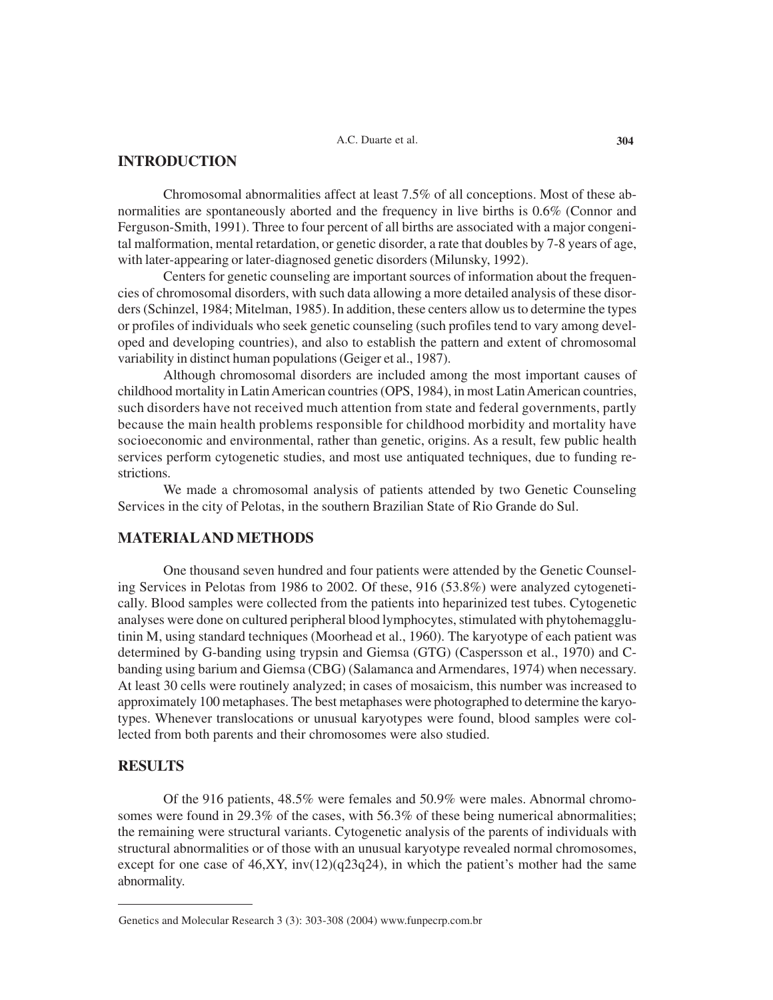## **INTRODUCTION**

Chromosomal abnormalities affect at least 7.5% of all conceptions. Most of these abnormalities are spontaneously aborted and the frequency in live births is 0.6% (Connor and Ferguson-Smith, 1991). Three to four percent of all births are associated with a major congenital malformation, mental retardation, or genetic disorder, a rate that doubles by 7-8 years of age, with later-appearing or later-diagnosed genetic disorders (Milunsky, 1992).

Centers for genetic counseling are important sources of information about the frequencies of chromosomal disorders, with such data allowing a more detailed analysis of these disorders (Schinzel, 1984; Mitelman, 1985). In addition, these centers allow us to determine the types or profiles of individuals who seek genetic counseling (such profiles tend to vary among developed and developing countries), and also to establish the pattern and extent of chromosomal variability in distinct human populations (Geiger et al., 1987).

Although chromosomal disorders are included among the most important causes of childhood mortality in Latin American countries (OPS, 1984), in most Latin American countries, such disorders have not received much attention from state and federal governments, partly because the main health problems responsible for childhood morbidity and mortality have socioeconomic and environmental, rather than genetic, origins. As a result, few public health services perform cytogenetic studies, and most use antiquated techniques, due to funding restrictions.

We made a chromosomal analysis of patients attended by two Genetic Counseling Services in the city of Pelotas, in the southern Brazilian State of Rio Grande do Sul.

## **MATERIAL AND METHODS**

One thousand seven hundred and four patients were attended by the Genetic Counseling Services in Pelotas from 1986 to 2002. Of these, 916 (53.8%) were analyzed cytogenetically. Blood samples were collected from the patients into heparinized test tubes. Cytogenetic analyses were done on cultured peripheral blood lymphocytes, stimulated with phytohemagglutinin M, using standard techniques (Moorhead et al., 1960). The karyotype of each patient was determined by G-banding using trypsin and Giemsa (GTG) (Caspersson et al., 1970) and Cbanding using barium and Giemsa (CBG) (Salamanca and Armendares, 1974) when necessary. At least 30 cells were routinely analyzed; in cases of mosaicism, this number was increased to approximately 100 metaphases. The best metaphases were photographed to determine the karyotypes. Whenever translocations or unusual karyotypes were found, blood samples were collected from both parents and their chromosomes were also studied.

## **RESULTS**

Of the 916 patients, 48.5% were females and 50.9% were males. Abnormal chromosomes were found in 29.3% of the cases, with 56.3% of these being numerical abnormalities; the remaining were structural variants. Cytogenetic analysis of the parents of individuals with structural abnormalities or of those with an unusual karyotype revealed normal chromosomes, except for one case of  $46, XY$ , inv $(12)(q23q24)$ , in which the patient's mother had the same abnormality.

Genetics and Molecular Research 3 (3): 303-308 (2004) www.funpecrp.com.br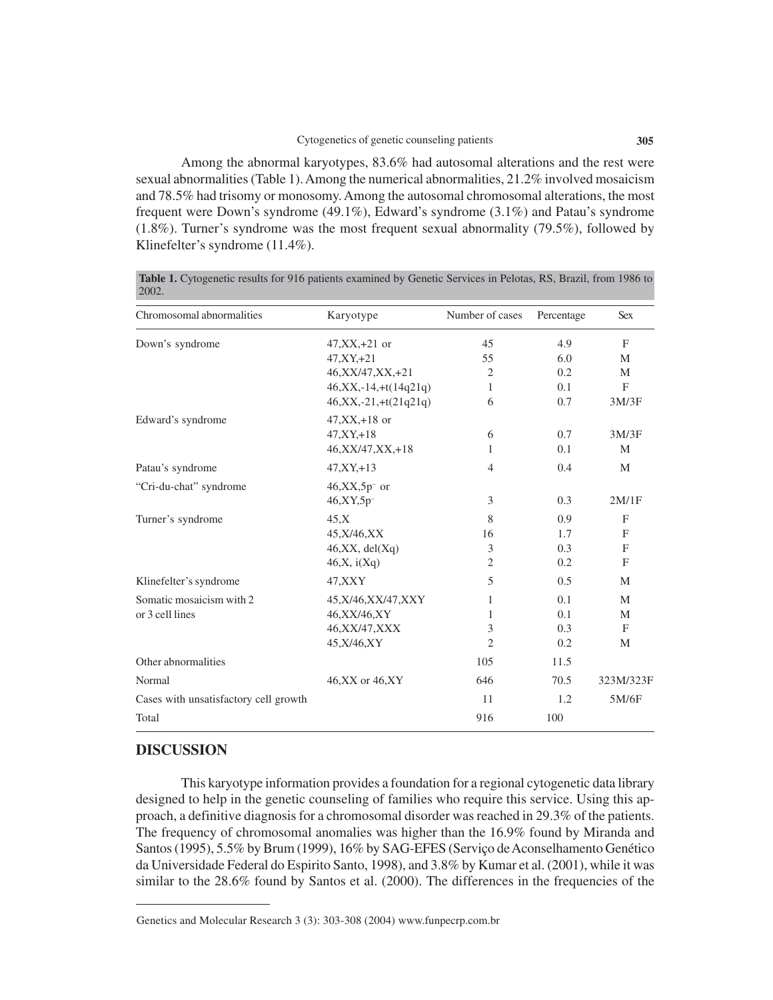Among the abnormal karyotypes, 83.6% had autosomal alterations and the rest were sexual abnormalities (Table 1). Among the numerical abnormalities, 21.2% involved mosaicism and 78.5% had trisomy or monosomy. Among the autosomal chromosomal alterations, the most frequent were Down's syndrome (49.1%), Edward's syndrome (3.1%) and Patau's syndrome (1.8%). Turner's syndrome was the most frequent sexual abnormality (79.5%), followed by Klinefelter's syndrome (11.4%).

| Chromosomal abnormalities             | Karyotype                    | Number of cases | Percentage | <b>Sex</b>   |
|---------------------------------------|------------------------------|-----------------|------------|--------------|
| Down's syndrome                       | $47, XX, +21$ or             | 45              | 4.9        | F            |
|                                       | $47, XY, +21$                | 55              | 6.0        | M            |
|                                       | 46, XX/47, XX, +21           | $\overline{2}$  | 0.2        | M            |
|                                       | $46, XX, -14, +t(14q21q)$    | 1               | 0.1        | F            |
|                                       | $46, XX, -21, +t(21q21q)$    | 6               | 0.7        | 3M/3F        |
| Edward's syndrome                     | $47, XX, +18$ or             |                 |            |              |
|                                       | $47, XY, +18$                | 6               | 0.7        | 3M/3F        |
|                                       | $46, XX/47, XX, +18$         | 1               | 0.1        | M            |
| Patau's syndrome                      | $47, XY, +13$                | $\overline{4}$  | 0.4        | M            |
| "Cri-du-chat" syndrome                | $46, XX, 5p$ <sup>-</sup> or |                 |            |              |
|                                       | 46, XY, 5p <sup>-</sup>      | 3               | 0.3        | 2M/1F        |
| Turner's syndrome                     | 45.X                         | 8               | 0.9        | $\mathbf{F}$ |
|                                       | 45, X/46, XX                 | 16              | 1.7        | F            |
|                                       | 46, XX, del(Xq)              | 3               | 0.3        | F            |
|                                       | 46, X, i(Xq)                 | 2               | 0.2        | F            |
| Klinefelter's syndrome                | 47, XXY                      | 5               | 0.5        | M            |
| Somatic mosaicism with 2              | 45, X/46, XX/47, XXY         | 1               | 0.1        | M            |
| or 3 cell lines                       | 46, XX/46, XY                | 1               | 0.1        | M            |
|                                       | 46, XX/47, XXX               | 3               | 0.3        | F            |
|                                       | 45, X/46, XY                 | $\overline{c}$  | 0.2        | M            |
| Other abnormalities                   |                              | 105             | 11.5       |              |
| Normal                                | 46, XX or 46, XY             | 646             | 70.5       | 323M/323F    |
| Cases with unsatisfactory cell growth |                              | 11              | 1.2        | 5M/6F        |
| Total                                 |                              | 916             | 100        |              |

**Table 1.** Cytogenetic results for 916 patients examined by Genetic Services in Pelotas, RS, Brazil, from 1986 to 2002.

## **DISCUSSION**

This karyotype information provides a foundation for a regional cytogenetic data library designed to help in the genetic counseling of families who require this service. Using this approach, a definitive diagnosis for a chromosomal disorder was reached in 29.3% of the patients. The frequency of chromosomal anomalies was higher than the 16.9% found by Miranda and Santos (1995), 5.5% by Brum (1999), 16% by SAG-EFES (Serviço de Aconselhamento Genético da Universidade Federal do Espirito Santo, 1998), and 3.8% by Kumar et al. (2001), while it was similar to the 28.6% found by Santos et al. (2000). The differences in the frequencies of the

Genetics and Molecular Research 3 (3): 303-308 (2004) www.funpecrp.com.br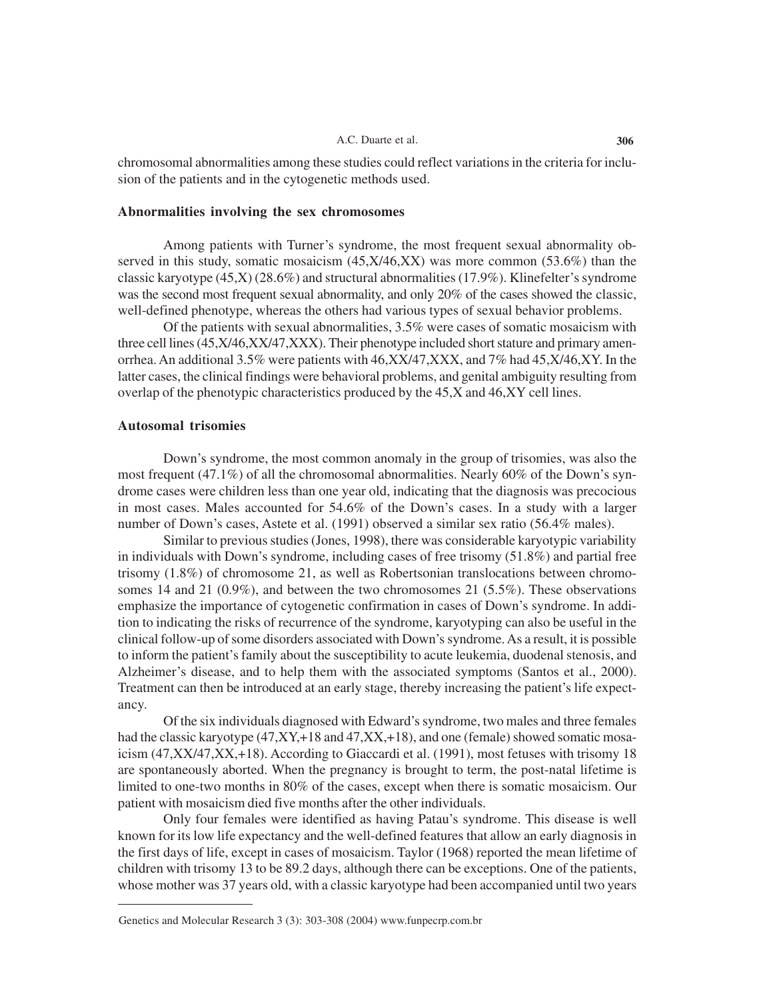#### A.C. Duarte et al. **306**

chromosomal abnormalities among these studies could reflect variations in the criteria for inclusion of the patients and in the cytogenetic methods used.

#### **Abnormalities involving the sex chromosomes**

Among patients with Turner's syndrome, the most frequent sexual abnormality observed in this study, somatic mosaicism (45,X/46,XX) was more common (53.6%) than the classic karyotype (45,X) (28.6%) and structural abnormalities (17.9%). Klinefelter's syndrome was the second most frequent sexual abnormality, and only 20% of the cases showed the classic, well-defined phenotype, whereas the others had various types of sexual behavior problems.

Of the patients with sexual abnormalities, 3.5% were cases of somatic mosaicism with three cell lines (45,X/46,XX/47,XXX). Their phenotype included short stature and primary amenorrhea. An additional 3.5% were patients with 46,XX/47,XXX, and 7% had 45,X/46,XY. In the latter cases, the clinical findings were behavioral problems, and genital ambiguity resulting from overlap of the phenotypic characteristics produced by the 45,X and 46,XY cell lines.

#### **Autosomal trisomies**

Down's syndrome, the most common anomaly in the group of trisomies, was also the most frequent (47.1%) of all the chromosomal abnormalities. Nearly 60% of the Down's syndrome cases were children less than one year old, indicating that the diagnosis was precocious in most cases. Males accounted for 54.6% of the Down's cases. In a study with a larger number of Down's cases, Astete et al. (1991) observed a similar sex ratio (56.4% males).

Similar to previous studies (Jones, 1998), there was considerable karyotypic variability in individuals with Down's syndrome, including cases of free trisomy (51.8%) and partial free trisomy (1.8%) of chromosome 21, as well as Robertsonian translocations between chromosomes 14 and 21 (0.9%), and between the two chromosomes 21 (5.5%). These observations emphasize the importance of cytogenetic confirmation in cases of Down's syndrome. In addition to indicating the risks of recurrence of the syndrome, karyotyping can also be useful in the clinical follow-up of some disorders associated with Down's syndrome. As a result, it is possible to inform the patient's family about the susceptibility to acute leukemia, duodenal stenosis, and Alzheimer's disease, and to help them with the associated symptoms (Santos et al., 2000). Treatment can then be introduced at an early stage, thereby increasing the patient's life expectancy.

Of the six individuals diagnosed with Edward's syndrome, two males and three females had the classic karyotype  $(47, XY, +18 \text{ and } 47, XX, +18)$ , and one (female) showed somatic mosaicism (47,XX/47,XX,+18). According to Giaccardi et al. (1991), most fetuses with trisomy 18 are spontaneously aborted. When the pregnancy is brought to term, the post-natal lifetime is limited to one-two months in 80% of the cases, except when there is somatic mosaicism. Our patient with mosaicism died five months after the other individuals.

Only four females were identified as having Patau's syndrome. This disease is well known for its low life expectancy and the well-defined features that allow an early diagnosis in the first days of life, except in cases of mosaicism. Taylor (1968) reported the mean lifetime of children with trisomy 13 to be 89.2 days, although there can be exceptions. One of the patients, whose mother was 37 years old, with a classic karyotype had been accompanied until two years

Genetics and Molecular Research 3 (3): 303-308 (2004) www.funpecrp.com.br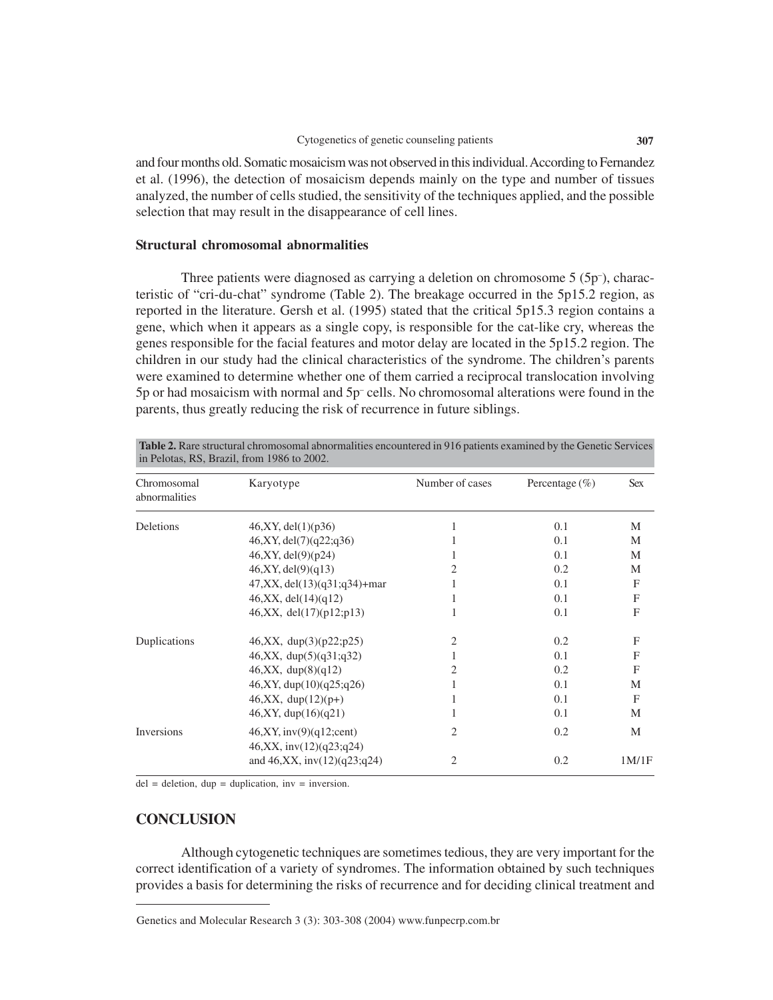and four months old. Somatic mosaicism was not observed in this individual. According to Fernandez et al. (1996), the detection of mosaicism depends mainly on the type and number of tissues analyzed, the number of cells studied, the sensitivity of the techniques applied, and the possible selection that may result in the disappearance of cell lines.

### **Structural chromosomal abnormalities**

Three patients were diagnosed as carrying a deletion on chromosome 5 (5p– ), characteristic of "cri-du-chat" syndrome (Table 2). The breakage occurred in the 5p15.2 region, as reported in the literature. Gersh et al. (1995) stated that the critical 5p15.3 region contains a gene, which when it appears as a single copy, is responsible for the cat-like cry, whereas the genes responsible for the facial features and motor delay are located in the 5p15.2 region. The children in our study had the clinical characteristics of the syndrome. The children's parents were examined to determine whether one of them carried a reciprocal translocation involving 5p or had mosaicism with normal and 5p– cells. No chromosomal alterations were found in the parents, thus greatly reducing the risk of recurrence in future siblings.

| in Pelotas, RS, Brazil, from 1986 to 2002. |                                                       |                 |                    |              |  |  |  |
|--------------------------------------------|-------------------------------------------------------|-----------------|--------------------|--------------|--|--|--|
| Chromosomal<br>abnormalities               | Karyotype                                             | Number of cases | Percentage $(\% )$ | <b>Sex</b>   |  |  |  |
| Deletions                                  | 46, XY, del(1)(p36)                                   | 1               | 0.1                | M            |  |  |  |
|                                            | 46, XY, del(7)(q22; q36)                              | 1               | 0.1                | M            |  |  |  |
|                                            | 46, XY, del(9)(p24)                                   | 1               | 0.1                | M            |  |  |  |
|                                            | 46, XY, del(9)(q13)                                   | 2               | 0.2                | M            |  |  |  |
|                                            | $47, XX, del(13)(q31; q34) + mar$                     |                 | 0.1                | F            |  |  |  |
|                                            | 46, XX, del(14)(q12)                                  | 1               | 0.1                | F            |  |  |  |
|                                            | 46, XX, del(17)(p12;p13)                              | 1               | 0.1                | F            |  |  |  |
| Duplications                               | 46, XX, $dup(3)(p22;p25)$                             | 2               | 0.2                | F            |  |  |  |
|                                            | $46, XX, \text{dup}(5)(q31; q32)$                     | 1               | 0.1                | F            |  |  |  |
|                                            | 46, XX, dup(8)(q12)                                   | 2               | 0.2                | $\mathbf{F}$ |  |  |  |
|                                            | 46, XY, dup(10)(q25; q26)                             | 1               | 0.1                | М            |  |  |  |
|                                            | $46, XX, dup(12)(p+)$                                 | 1               | 0.1                | F            |  |  |  |
|                                            | 46, XY, dup(16)(q21)                                  | 1               | 0.1                | M            |  |  |  |
| Inversions                                 | 46, XY, inv(9)(q12; cent)<br>46, XX, inv(12)(q23;q24) | 2               | 0.2                | M            |  |  |  |
|                                            | and $46, XX$ , inv $(12)(q23; q24)$                   | 2               | 0.2                | 1M/1F        |  |  |  |

**Table 2.** Rare structural chromosomal abnormalities encountered in 916 patients examined by the Genetic Services

 $del = deletion, dup = duplication, inv = inversion.$ 

## **CONCLUSION**

Although cytogenetic techniques are sometimes tedious, they are very important for the correct identification of a variety of syndromes. The information obtained by such techniques provides a basis for determining the risks of recurrence and for deciding clinical treatment and

Genetics and Molecular Research 3 (3): 303-308 (2004) www.funpecrp.com.br